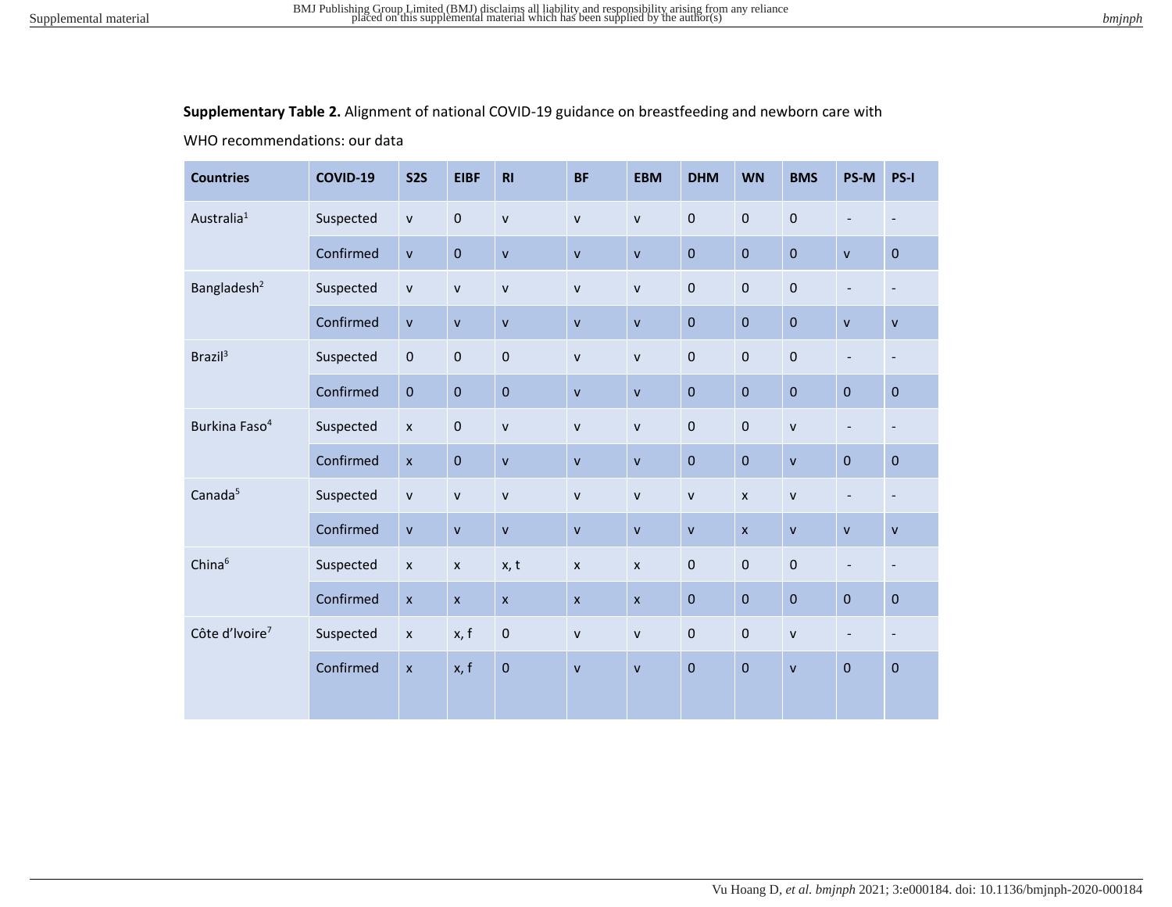**Supplementary Table 2.** Alignment of national COVID-19 guidance on breastfeeding and newborn care with

WHO recommendations: our data

| <b>Countries</b>           | <b>COVID-19</b> | <b>S2S</b>     | <b>EIBF</b>        | R1                        | <b>BF</b>      | <b>EBM</b>   | <b>DHM</b>   | <b>WN</b>      | <b>BMS</b>   | PS-M                     | PS-I                         |
|----------------------------|-----------------|----------------|--------------------|---------------------------|----------------|--------------|--------------|----------------|--------------|--------------------------|------------------------------|
| Australia <sup>1</sup>     | Suspected       | $\mathsf{V}$   | $\mathbf 0$        | $\mathsf{v}$              | $\mathsf{v}$   | $\mathsf{v}$ | $\pmb{0}$    | $\mathbf 0$    | $\pmb{0}$    | $\overline{\phantom{a}}$ | $\overline{\phantom{a}}$     |
|                            | Confirmed       | $\mathsf{v}$   | $\mathbf 0$        | $\mathsf{v}$              | $\mathsf{v}$   | $\mathsf{v}$ | $\pmb{0}$    | $\mathbf 0$    | $\pmb{0}$    | $\mathsf{V}$             | $\pmb{0}$                    |
| Bangladesh <sup>2</sup>    | Suspected       | $\mathsf{V}$   | $\mathsf{v}$       | $\mathsf{v}$              | $\mathsf{v}$   | $\mathsf{v}$ | $\pmb{0}$    | $\pmb{0}$      | $\pmb{0}$    | $\overline{\phantom{a}}$ | $\qquad \qquad \blacksquare$ |
|                            | Confirmed       | $\mathsf{v}$   | $\mathsf{v}$       | $\mathbf{v}$              | $\mathbf{v}$   | $\mathbf{v}$ | $\pmb{0}$    | $\mathbf 0$    | $\pmb{0}$    | $\mathsf{V}$             | $\mathsf{v}$                 |
| Brazil <sup>3</sup>        | Suspected       | $\pmb{0}$      | $\pmb{0}$          | $\mathbf 0$               | $\mathsf{v}$   | $\mathsf{v}$ | $\mathbf 0$  | $\mathbf 0$    | $\mathbf 0$  | $\overline{\phantom{a}}$ | $\overline{\phantom{a}}$     |
|                            | Confirmed       | $\pmb{0}$      | $\mathbf 0$        | $\mathbf 0$               | $\mathsf{v}$   | $\mathbf{v}$ | $\pmb{0}$    | $\mathbf 0$    | $\pmb{0}$    | $\mathbf 0$              | $\pmb{0}$                    |
| Burkina Faso <sup>4</sup>  | Suspected       | $\pmb{\times}$ | $\pmb{0}$          | $\mathsf{v}$              | $\mathsf{v}$   | $\mathsf{v}$ | $\pmb{0}$    | $\mathbf 0$    | $\mathsf{v}$ | $\overline{\phantom{a}}$ | $\overline{\phantom{a}}$     |
|                            | Confirmed       | $\mathsf{x}$   | $\mathbf 0$        | $\mathsf{v}$              | $\mathbf{v}$   | $\mathsf{v}$ | $\pmb{0}$    | $\mathbf{0}$   | $\mathsf{V}$ | $\overline{0}$           | $\pmb{0}$                    |
| Canada <sup>5</sup>        | Suspected       | $\mathsf{v}$   | $\mathsf{v}$       | $\mathsf{v}$              | $\mathsf{V}$   | $\mathsf{v}$ | ${\sf v}$    | $\pmb{\times}$ | ${\sf v}$    | $\overline{\phantom{a}}$ | $\qquad \qquad \blacksquare$ |
|                            | Confirmed       | $\mathsf{v}$   | $\mathsf{V}$       | $\mathsf{v}$              | $\mathsf{v}$   | $\mathsf{v}$ | $\mathsf{v}$ | $\mathsf{x}$   | $\mathsf{v}$ | $\mathsf{V}$             | $\mathsf{v}$                 |
| China <sup>6</sup>         | Suspected       | $\pmb{\times}$ | $\pmb{\times}$     | x, t                      | $\pmb{\times}$ | $\pmb{\chi}$ | $\pmb{0}$    | $\bf 0$        | $\pmb{0}$    | $\overline{\phantom{a}}$ | $\overline{\phantom{a}}$     |
|                            | Confirmed       | $\pmb{\times}$ | $\pmb{\mathsf{x}}$ | $\boldsymbol{\mathsf{x}}$ | $\mathsf{x}$   | $\mathsf{x}$ | $\pmb{0}$    | $\mathbf 0$    | $\pmb{0}$    | $\pmb{0}$                | $\pmb{0}$                    |
| Côte d'Ivoire <sup>7</sup> | Suspected       | $\pmb{\chi}$   | x, f               | $\pmb{0}$                 | ${\sf v}$      | $\mathsf{v}$ | $\pmb{0}$    | $\pmb{0}$      | ${\sf v}$    | $\overline{\phantom{a}}$ | $\overline{\phantom{a}}$     |
|                            | Confirmed       | $\pmb{\times}$ | x, f               | $\mathbf 0$               | $\mathsf{v}$   | $\mathsf{V}$ | $\bf 0$      | $\mathbf 0$    | $\mathsf{V}$ | $\mathbf 0$              | $\pmb{0}$                    |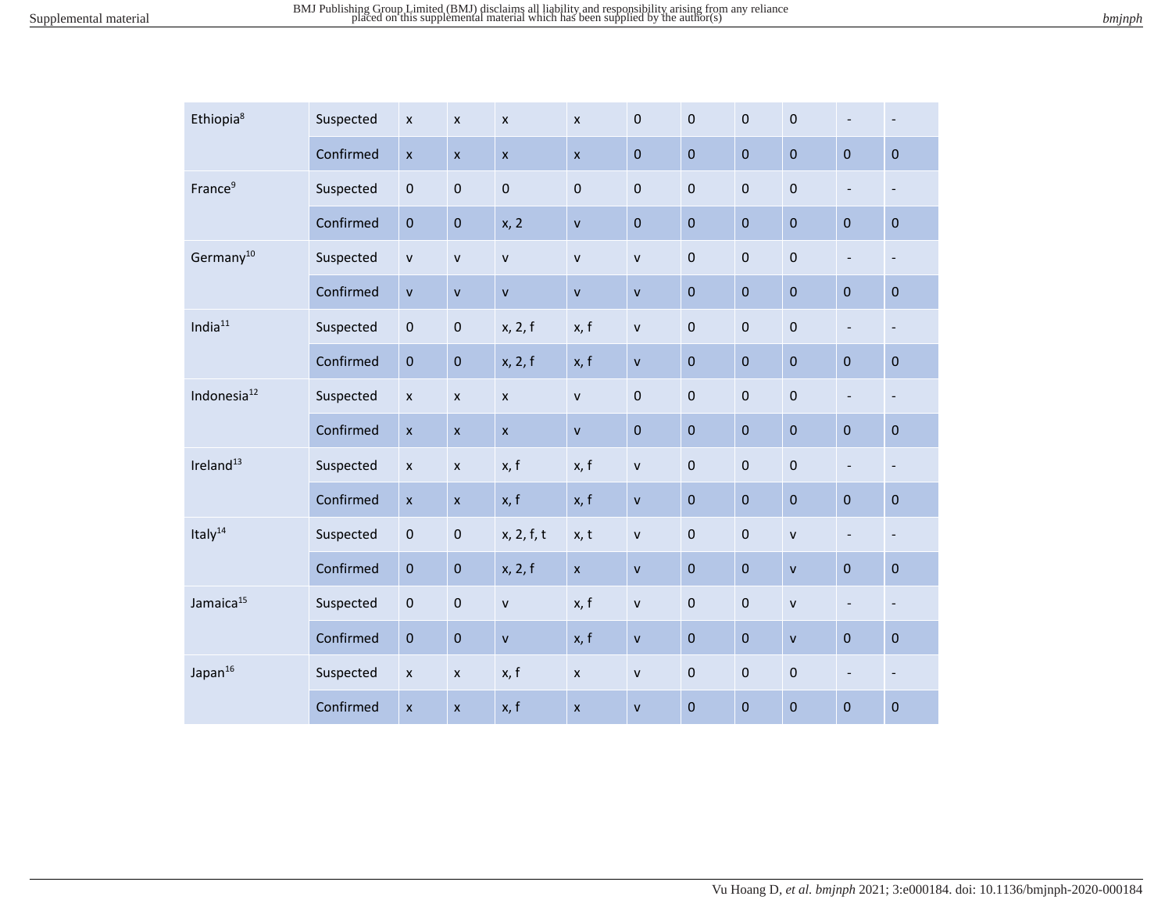| Ethiopia <sup>8</sup>   | Suspected | $\pmb{\times}$     | $\boldsymbol{\mathsf{x}}$ | $\pmb{\chi}$       | $\boldsymbol{\mathsf{x}}$ | $\pmb{0}$    | $\pmb{0}$    | $\pmb{0}$   | $\pmb{0}$    | $\overline{\phantom{a}}$ | $\overline{\phantom{a}}$ |
|-------------------------|-----------|--------------------|---------------------------|--------------------|---------------------------|--------------|--------------|-------------|--------------|--------------------------|--------------------------|
|                         | Confirmed | $\pmb{\times}$     | $\pmb{\mathsf{x}}$        | $\mathsf{x}$       | $\pmb{\times}$            | $\pmb{0}$    | $\mathbf 0$  | $\pmb{0}$   | $\mathbf 0$  | $\bf 0$                  | $\pmb{0}$                |
| France <sup>9</sup>     | Suspected | $\pmb{0}$          | $\pmb{0}$                 | $\mathbf 0$        | $\mathbf 0$               | $\pmb{0}$    | $\pmb{0}$    | $\pmb{0}$   | $\pmb{0}$    | $\overline{\phantom{a}}$ | $\overline{\phantom{a}}$ |
|                         | Confirmed | $\pmb{0}$          | $\pmb{0}$                 | x, 2               | $\mathbf{V}$              | $\bf 0$      | $\pmb{0}$    | $\pmb{0}$   | $\pmb{0}$    | $\mathbf 0$              | $\pmb{0}$                |
| Germany <sup>10</sup>   | Suspected | $\mathsf{v}$       | $\mathsf{v}$              | $\mathsf{v}$       | $\mathsf{v}$              | $\mathsf{V}$ | $\pmb{0}$    | $\pmb{0}$   | $\mathbf 0$  | $\overline{\phantom{a}}$ | $\overline{\phantom{a}}$ |
|                         | Confirmed | $\mathsf{V}$       | $\mathsf{v}$              | $\bar{\mathsf{v}}$ | $\mathsf{v}$              | $\mathsf{V}$ | $\pmb{0}$    | $\pmb{0}$   | $\pmb{0}$    | $\mathbf 0$              | $\pmb{0}$                |
| India $11$              | Suspected | $\pmb{0}$          | $\pmb{0}$                 | x, 2, f            | x, f                      | $\mathsf{V}$ | $\pmb{0}$    | $\pmb{0}$   | $\mathbf 0$  | $\overline{\phantom{a}}$ | $\overline{\phantom{a}}$ |
|                         | Confirmed | $\pmb{0}$          | $\pmb{0}$                 | x, 2, f            | x, f                      | $\mathsf{v}$ | $\mathbf 0$  | $\pmb{0}$   | $\mathbf 0$  | $\bf 0$                  | $\pmb{0}$                |
| Indonesia <sup>12</sup> | Suspected | $\pmb{\times}$     | $\pmb{\times}$            | $\mathsf{x}$       | $\mathsf{v}$              | $\pmb{0}$    | $\mathbf 0$  | $\pmb{0}$   | $\pmb{0}$    | $\overline{\phantom{a}}$ | $\overline{\phantom{a}}$ |
|                         | Confirmed | $\pmb{\times}$     | $\pmb{\times}$            | $\bar{\mathbf{x}}$ | $\mathbf{V}$              | $\pmb{0}$    | $\pmb{0}$    | $\pmb{0}$   | $\pmb{0}$    | $\pmb{0}$                | $\mathbf 0$              |
| Ireland <sup>13</sup>   | Suspected | $\pmb{\mathsf{x}}$ | $\pmb{\times}$            | x, f               | x, f                      | $\mathsf{v}$ | $\pmb{0}$    | $\pmb{0}$   | $\pmb{0}$    | $\overline{\phantom{a}}$ | $\overline{\phantom{a}}$ |
|                         | Confirmed | $\pmb{\times}$     | $\pmb{\mathsf{x}}$        | x, f               | x, f                      | $\mathsf{V}$ | $\pmb{0}$    | $\mathbf 0$ | $\pmb{0}$    | $\mathbf 0$              | $\pmb{0}$                |
| Italy <sup>14</sup>     | Suspected | $\pmb{0}$          | $\pmb{0}$                 | x, 2, f, t         | x, t                      | $\mathsf{V}$ | $\pmb{0}$    | $\pmb{0}$   | $\mathsf{V}$ | $\overline{\phantom{a}}$ | $\overline{\phantom{a}}$ |
|                         | Confirmed | $\pmb{0}$          | $\pmb{0}$                 | x, 2, f            | $\pmb{\mathsf{x}}$        | $\mathsf{v}$ | $\pmb{0}$    | $\mathbf 0$ | $\mathsf{v}$ | $\mathbf 0$              | $\mathbf 0$              |
| Jamaica <sup>15</sup>   | Suspected | $\pmb{0}$          | $\pmb{0}$                 | $\mathsf{v}$       | x, f                      | $\mathsf{V}$ | $\mathbf 0$  | $\pmb{0}$   | $\mathsf{v}$ | $\overline{\phantom{a}}$ | $\overline{\phantom{a}}$ |
|                         | Confirmed | $\pmb{0}$          | $\bf 0$                   | $\mathsf{v}$       | x, f                      | $\mathsf{v}$ | $\mathbf{0}$ | $\pmb{0}$   | $\mathsf{v}$ | $\mathbf 0$              | $\pmb{0}$                |
| Japan <sup>16</sup>     | Suspected | $\pmb{\mathsf{x}}$ | $\pmb{\times}$            | x, f               | $\boldsymbol{\mathsf{x}}$ | $\mathsf{V}$ | $\pmb{0}$    | $\pmb{0}$   | $\pmb{0}$    | $\overline{\phantom{a}}$ | $\overline{\phantom{a}}$ |
|                         | Confirmed | $\pmb{\mathsf{x}}$ | $\pmb{\times}$            | x, f               | $\mathsf{x}$              | $\mathsf{v}$ | $\pmb{0}$    | $\mathbf 0$ | $\pmb{0}$    | $\mathbf 0$              | $\pmb{0}$                |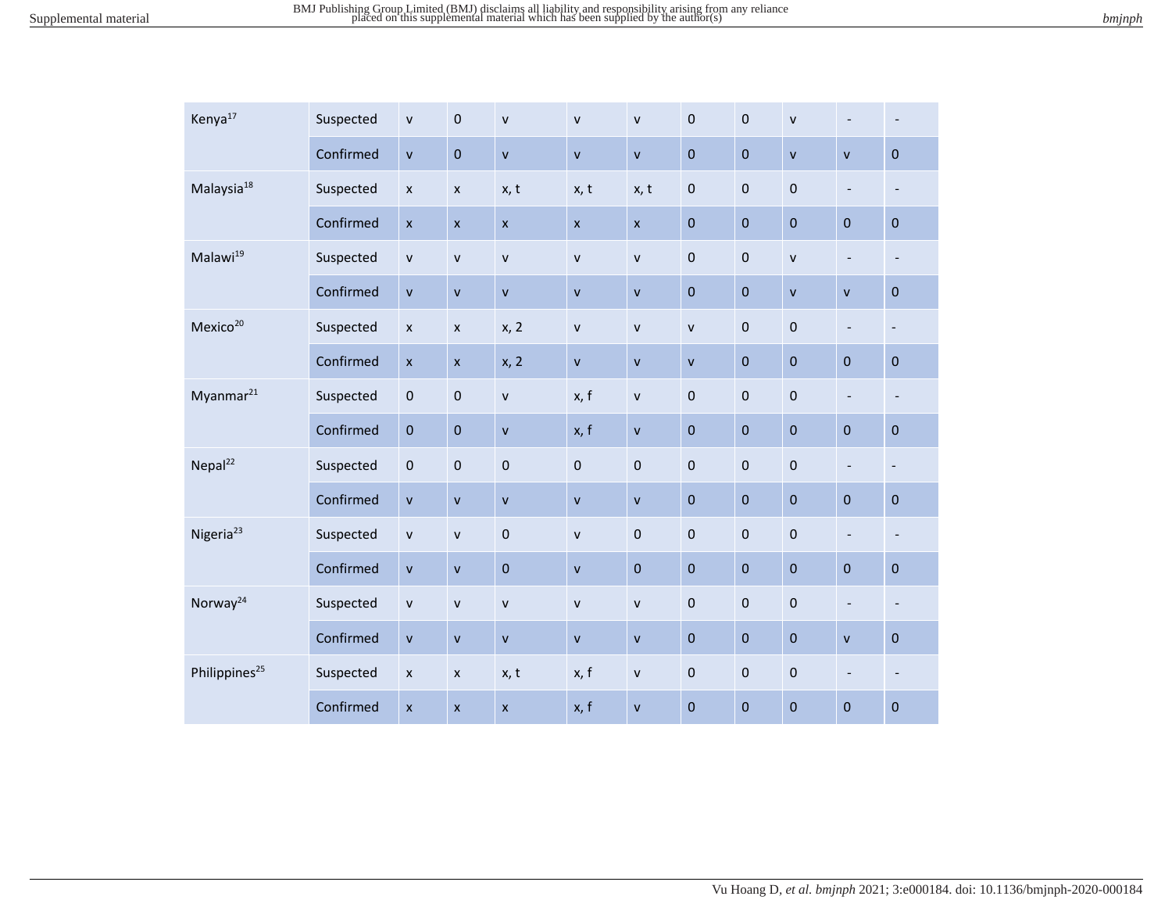| Kenya <sup>17</sup>       | Suspected | ${\sf v}$      | $\pmb{0}$          | $\mathsf{v}$       | $\mathbf{v}$ | $\mathsf{v}$   | $\pmb{0}$    | $\pmb{0}$   | $\mathsf{v}$       | $\overline{\phantom{a}}$ | $\overline{\phantom{a}}$     |
|---------------------------|-----------|----------------|--------------------|--------------------|--------------|----------------|--------------|-------------|--------------------|--------------------------|------------------------------|
|                           | Confirmed | $\mathsf{v}$   | $\pmb{0}$          | $\mathsf{v}$       | $\mathbf{V}$ | $\mathsf{v}$   | $\mathbf 0$  | $\pmb{0}$   | $\mathbf{v}$       | $\mathbf{v}$             | $\mathbf 0$                  |
| Malaysia <sup>18</sup>    | Suspected | $\pmb{\times}$ | $\pmb{\times}$     | x, t               | x, t         | x, t           | $\pmb{0}$    | $\pmb{0}$   | $\pmb{0}$          | $\overline{\phantom{a}}$ | $\overline{\phantom{a}}$     |
|                           | Confirmed | $\mathsf{x}$   | $\pmb{\mathsf{x}}$ | $\mathsf{x}$       | $\mathsf{x}$ | $\pmb{\times}$ | $\pmb{0}$    | $\pmb{0}$   | $\pmb{0}$          | $\mathbf 0$              | $\pmb{0}$                    |
| Malawi <sup>19</sup>      | Suspected | $\mathsf{v}$   | $\mathsf{v}$       | $\mathsf{V}$       | $\mathsf{v}$ | $\mathsf{v}$   | $\pmb{0}$    | $\pmb{0}$   | V                  | $\overline{\phantom{a}}$ | $\overline{\phantom{a}}$     |
|                           | Confirmed | $\mathsf{v}$   | $\mathsf{V}$       | $\pmb{\mathsf{V}}$ | $\mathbf{v}$ | $\mathsf{v}$   | $\pmb{0}$    | $\pmb{0}$   | $\pmb{\mathsf{V}}$ | $\mathsf{V}$             | $\pmb{0}$                    |
| Mexico <sup>20</sup>      | Suspected | $\pmb{\times}$ | $\pmb{\mathsf{x}}$ | x, 2               | $\mathsf{V}$ | $\mathsf{V}$   | $\mathsf{v}$ | $\pmb{0}$   | $\pmb{0}$          | $\overline{\phantom{a}}$ | $\qquad \qquad \blacksquare$ |
|                           | Confirmed | $\pmb{\times}$ | $\pmb{\mathsf{x}}$ | x, 2               | $\mathbf{V}$ | $\mathsf{v}$   | $\mathsf{v}$ | $\pmb{0}$   | $\mathbf 0$        | $\pmb{0}$                | $\pmb{0}$                    |
| Myanmar <sup>21</sup>     | Suspected | $\pmb{0}$      | $\pmb{0}$          | $\mathsf{v}$       | x, f         | ${\sf v}$      | $\pmb{0}$    | $\pmb{0}$   | $\pmb{0}$          | $\overline{\phantom{a}}$ | $\overline{\phantom{a}}$     |
|                           | Confirmed | $\pmb{0}$      | $\pmb{0}$          | $\mathsf{v}$       | x, f         | $\mathsf{v}$   | $\pmb{0}$    | $\pmb{0}$   | $\pmb{0}$          | $\pmb{0}$                | $\mathbf 0$                  |
| Nepal <sup>22</sup>       | Suspected | $\pmb{0}$      | $\pmb{0}$          | $\mathbf 0$        | $\mathbf 0$  | $\mathbf 0$    | $\pmb{0}$    | $\pmb{0}$   | $\pmb{0}$          | $\overline{\phantom{a}}$ | $\overline{\phantom{a}}$     |
|                           | Confirmed | $\mathsf{v}$   | $\mathsf{v}$       | $\mathsf{v}$       | $\mathbf v$  | $\mathsf{v}$   | $\pmb{0}$    | $\pmb{0}$   | $\pmb{0}$          | $\pmb{0}$                | $\pmb{0}$                    |
| Nigeria <sup>23</sup>     | Suspected | ${\sf v}$      | $\mathsf{v}$       | $\mathbf 0$        | $\mathbf{v}$ | $\pmb{0}$      | $\pmb{0}$    | $\pmb{0}$   | $\pmb{0}$          | $\overline{\phantom{a}}$ | $\overline{\phantom{a}}$     |
|                           | Confirmed | ${\sf v}$      | $\mathsf{V}$       | $\mathbf 0$        | $\mathbf{V}$ | $\mathbf 0$    | $\pmb{0}$    | $\mathbf 0$ | $\pmb{0}$          | $\mathbf 0$              | $\pmb{0}$                    |
| Norway <sup>24</sup>      | Suspected | $\mathsf{v}$   | $\mathsf{v}$       | $\mathsf{v}$       | $\mathbf{v}$ | $\mathbf{v}$   | $\mathbf{0}$ | $\pmb{0}$   | $\mathbf{0}$       | $\overline{\phantom{a}}$ | $\overline{\phantom{a}}$     |
|                           | Confirmed | $\mathsf{v}$   | $\mathsf{V}$       | $\mathsf{v}$       | $\mathbf{v}$ | $\mathsf{V}$   | $\mathbf 0$  | $\pmb{0}$   | $\mathbf{0}$       | $\mathsf{v}$             | $\pmb{0}$                    |
| Philippines <sup>25</sup> | Suspected | $\pmb{\times}$ | $\pmb{\mathsf{x}}$ | x, t               | x, f         | $\mathsf{V}$   | $\pmb{0}$    | $\pmb{0}$   | $\pmb{0}$          | $\blacksquare$           | $\overline{\phantom{a}}$     |
|                           | Confirmed | $\pmb{\times}$ | $\pmb{\mathsf{x}}$ | $\pmb{\mathsf{X}}$ | x, f         | $\mathsf{v}$   | $\pmb{0}$    | $\mathbf 0$ | $\pmb{0}$          | $\mathbf 0$              | $\pmb{0}$                    |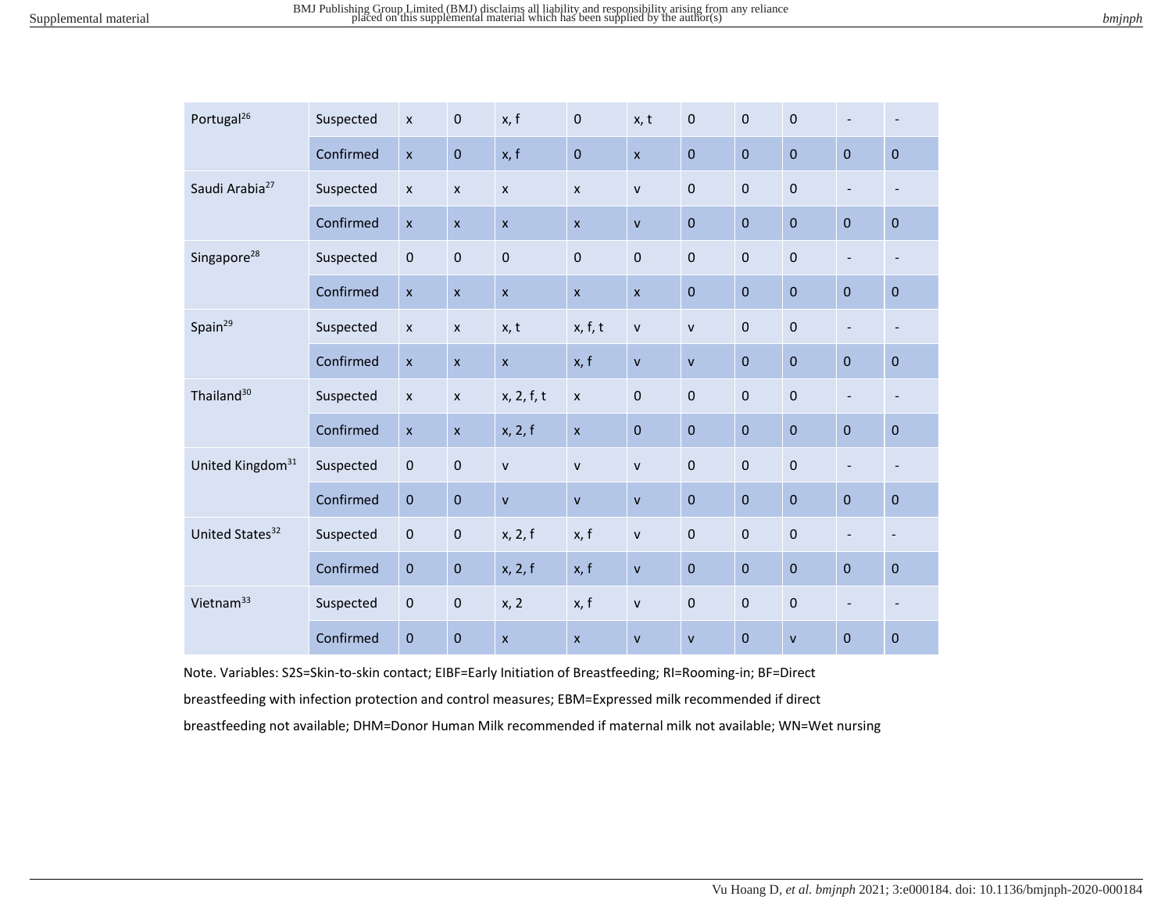| bmjnph |
|--------|
|--------|

| Portugal <sup>26</sup>       | Suspected | $\boldsymbol{\mathsf{x}}$ | $\mathbf 0$               | x, f               | $\pmb{0}$          | x, t               | $\pmb{0}$    | $\pmb{0}$   | $\pmb{0}$    | $\overline{\phantom{a}}$ | $\overline{\phantom{a}}$     |
|------------------------------|-----------|---------------------------|---------------------------|--------------------|--------------------|--------------------|--------------|-------------|--------------|--------------------------|------------------------------|
|                              | Confirmed | $\mathsf{x}$              | $\mathbf 0$               | x, f               | $\pmb{0}$          | $\mathsf{x}$       | $\mathbf 0$  | $\mathbf 0$ | $\mathbf 0$  | $\mathbf 0$              | $\pmb{0}$                    |
| Saudi Arabia <sup>27</sup>   | Suspected | $\pmb{\mathsf{x}}$        | $\boldsymbol{\mathsf{x}}$ | $\pmb{\times}$     | $\pmb{\chi}$       | $\mathsf{v}$       | $\pmb{0}$    | $\pmb{0}$   | $\pmb{0}$    | $\overline{\phantom{a}}$ | $\overline{\phantom{a}}$     |
|                              | Confirmed | $\boldsymbol{\mathsf{x}}$ | $\mathsf{x}$              | $\mathsf{x}$       | $\mathsf{x}$       | $\mathsf{v}$       | $\pmb{0}$    | $\mathbf 0$ | $\pmb{0}$    | $\mathbf 0$              | $\mathbf 0$                  |
| Singapore <sup>28</sup>      | Suspected | $\pmb{0}$                 | $\mathbf 0$               | $\mathbf 0$        | $\mathbf 0$        | $\mathbf 0$        | $\mathbf 0$  | $\bf 0$     | $\pmb{0}$    | $\blacksquare$           | $\overline{\phantom{a}}$     |
|                              | Confirmed | $\pmb{\mathsf{x}}$        | $\pmb{\times}$            | $\pmb{\mathsf{x}}$ | $\pmb{\mathsf{x}}$ | $\pmb{\mathsf{x}}$ | $\pmb{0}$    | $\mathbf 0$ | $\pmb{0}$    | $\mathbf 0$              | $\pmb{0}$                    |
| Spain <sup>29</sup>          | Suspected | $\boldsymbol{\mathsf{x}}$ | $\pmb{\times}$            | x, t               | x, f, t            | $\mathsf{v}$       | $\mathsf{v}$ | $\mathbf 0$ | $\pmb{0}$    | $\blacksquare$           | $\qquad \qquad \blacksquare$ |
|                              | Confirmed | $\pmb{\mathsf{x}}$        | $\pmb{\chi}$              | $\mathsf{x}$       | x, f               | $\mathsf{v}$       | $\mathsf{v}$ | $\mathbf 0$ | $\pmb{0}$    | $\mathbf 0$              | $\pmb{0}$                    |
| Thailand <sup>30</sup>       | Suspected | $\pmb{\chi}$              | $\pmb{\times}$            | x, 2, f, t         | $\pmb{\chi}$       | $\pmb{0}$          | $\pmb{0}$    | $\pmb{0}$   | $\pmb{0}$    | $\overline{\phantom{a}}$ | $\overline{\phantom{a}}$     |
|                              | Confirmed | $\pmb{\times}$            | $\pmb{\times}$            | x, 2, f            | $\pmb{\mathsf{x}}$ | $\pmb{0}$          | $\pmb{0}$    | $\mathbf 0$ | $\pmb{0}$    | $\mathbf 0$              | $\pmb{0}$                    |
| United Kingdom <sup>31</sup> | Suspected | $\mathbf 0$               | $\mathbf 0$               | $\mathsf{v}$       | $\mathsf{V}$       | $\mathsf{v}$       | $\mathbf 0$  | $\mathbf 0$ | $\pmb{0}$    | $\overline{\phantom{a}}$ | $\overline{\phantom{a}}$     |
|                              | Confirmed | $\pmb{0}$                 | $\mathbf 0$               | $\mathsf{v}$       | $\mathsf{V}$       | $\mathsf{V}$       | $\pmb{0}$    | $\mathbf 0$ | $\pmb{0}$    | $\bf 0$                  | $\pmb{0}$                    |
| United States <sup>32</sup>  | Suspected | 0                         | $\pmb{0}$                 | x, 2, f            | x, f               | $\mathsf{v}$       | $\pmb{0}$    | $\mathbf 0$ | $\pmb{0}$    | $\blacksquare$           | $\overline{\phantom{a}}$     |
|                              | Confirmed | $\pmb{0}$                 | $\pmb{0}$                 | x, 2, f            | x, f               | $\mathsf{v}$       | $\pmb{0}$    | $\mathbf 0$ | $\pmb{0}$    | $\mathbf 0$              | $\pmb{0}$                    |
| Vietnam <sup>33</sup>        | Suspected | $\pmb{0}$                 | $\pmb{0}$                 | x, 2               | x, f               | ${\sf v}$          | $\pmb{0}$    | $\pmb{0}$   | $\pmb{0}$    | $\overline{\phantom{a}}$ | $\overline{\phantom{a}}$     |
|                              | Confirmed | $\pmb{0}$                 | $\pmb{0}$                 | $\mathsf{x}$       | $\mathsf{x}$       | $\mathsf{v}$       | $\mathsf{v}$ | $\mathbf 0$ | $\mathsf{v}$ | $\bf 0$                  | $\pmb{0}$                    |

Note. Variables: S2S=Skin-to-skin contact; EIBF=Early Initiation of Breastfeeding; RI=Rooming-in; BF=Direct

breastfeeding with infection protection and control measures; EBM=Expressed milk recommended if direct

breastfeeding not available; DHM=Donor Human Milk recommended if maternal milk not available; WN=Wet nursing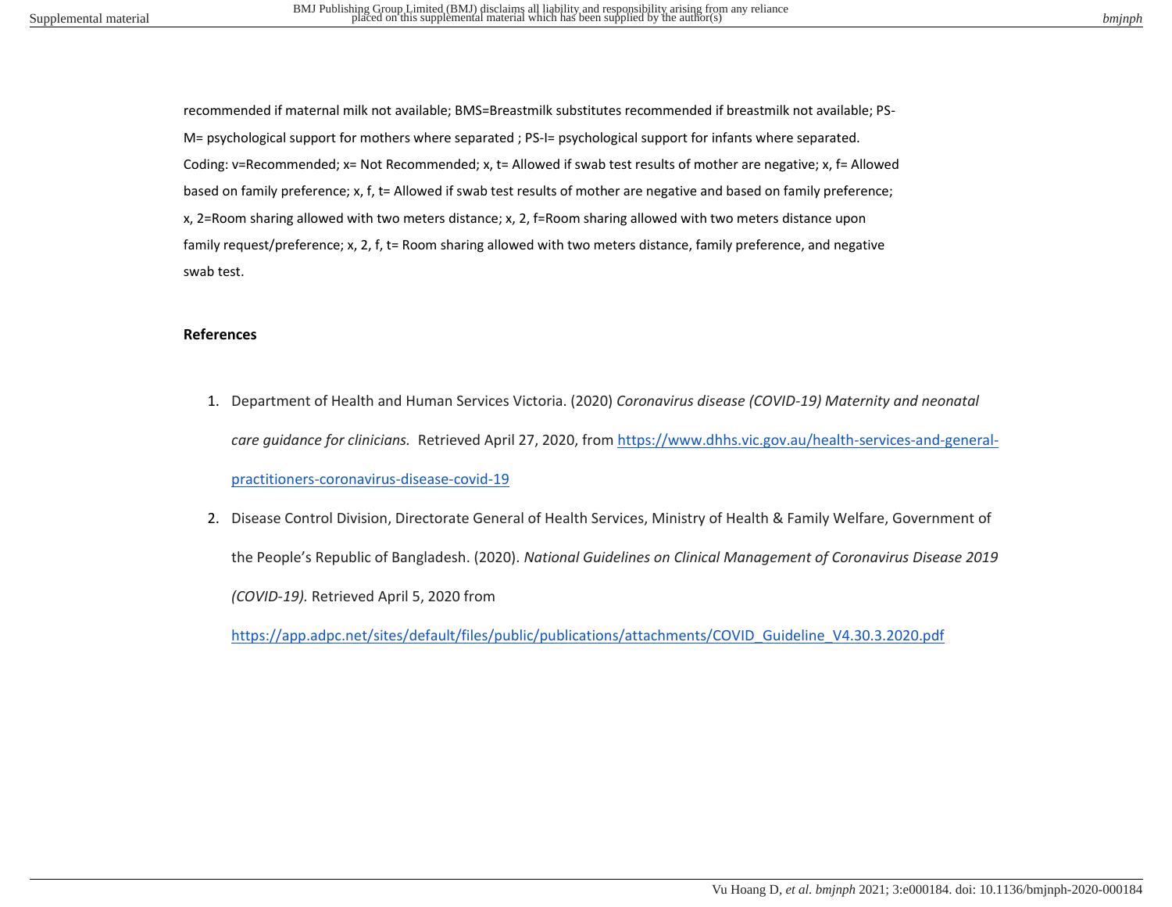recommended if maternal milk not available; BMS=Breastmilk substitutes recommended if breastmilk not available; PS-M= psychological support for mothers where separated ; PS-I= psychological support for infants where separated. Coding: v=Recommended; x= Not Recommended; x, t= Allowed if swab test results of mother are negative; x, f= Allowed based on family preference; x, f, t= Allowed if swab test results of mother are negative and based on family preference; x, 2=Room sharing allowed with two meters distance; x, 2, f=Room sharing allowed with two meters distance upon family request/preference; x, 2, f, t= Room sharing allowed with two meters distance, family preference, and negative swab test.

## **References**

- 1. Department of Health and Human Services Victoria. (2020) *Coronavirus disease (COVID-19) Maternity and neonatal care guidance for clinicians.* Retrieved April 27, 2020, from [https://www.dhhs.vic.gov.au/health-services-and-general](https://www.dhhs.vic.gov.au/health-services-and-general-practitioners-coronavirus-disease-covid-19)[practitioners-coronavirus-disease-covid-19](https://www.dhhs.vic.gov.au/health-services-and-general-practitioners-coronavirus-disease-covid-19)
- 2. Disease Control Division, Directorate General of Health Services, Ministry of Health & Family Welfare, Government of the People's Republic of Bangladesh. (2020). *National Guidelines on Clinical Management of Coronavirus Disease 2019 (COVID-19).* Retrieved April 5, 2020 from

[https://app.adpc.net/sites/default/files/public/publications/attachments/COVID\\_Guideline\\_V4.30.3.2020.pdf](https://app.adpc.net/sites/default/files/public/publications/attachments/COVID_Guideline_V4.30.3.2020.pdf)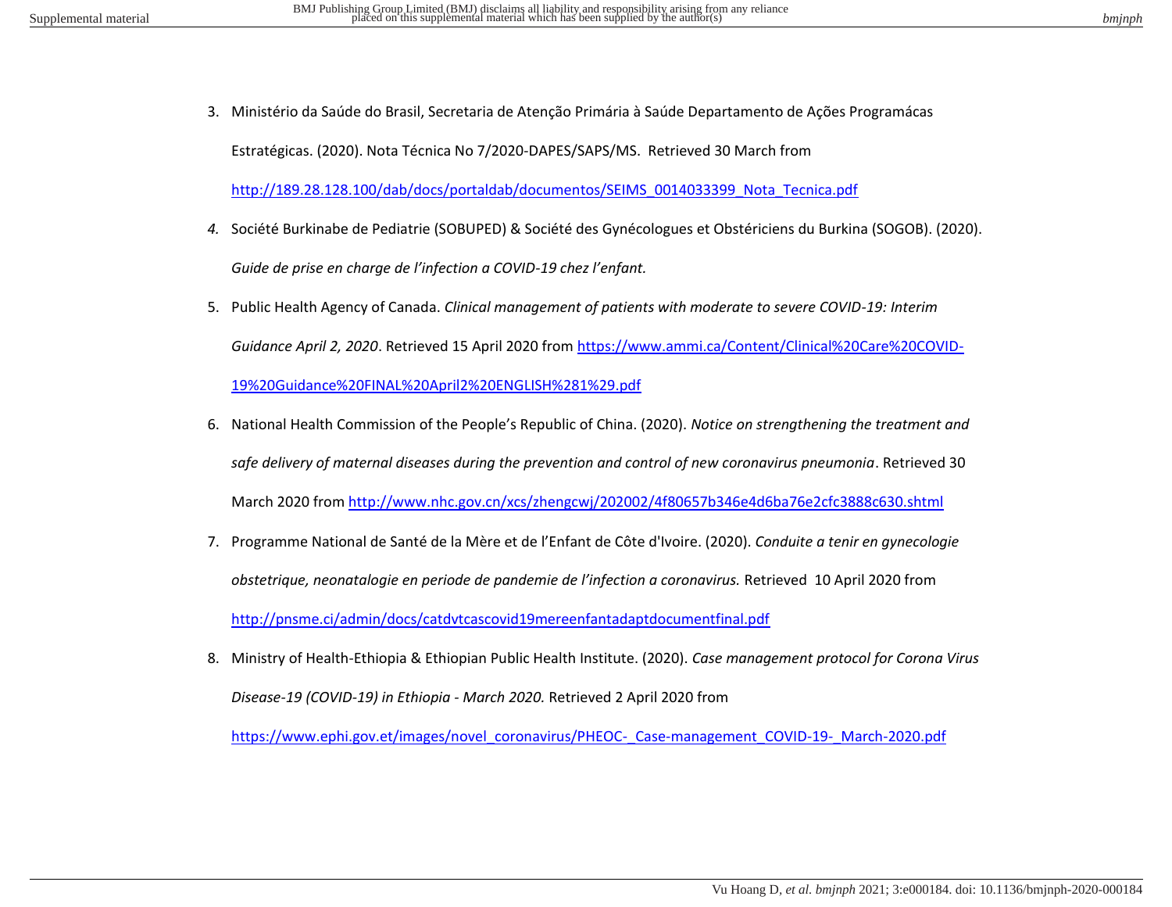3. Ministério da Saúde do Brasil, Secretaria de Atenção Primária à Saúde Departamento de Ações Programácas

Estratégicas. (2020). Nota Técnica No 7/2020-DAPES/SAPS/MS. Retrieved 30 March from

[http://189.28.128.100/dab/docs/portaldab/documentos/SEIMS\\_0014033399\\_Nota\\_Tecnica.pdf](http://189.28.128.100/dab/docs/portaldab/documentos/SEIMS_0014033399_Nota_Tecnica.pdf)

- *4.* Société Burkinabe de Pediatrie (SOBUPED) & Société des Gynécologues et Obstériciens du Burkina (SOGOB). (2020). *Guide de prise en charge de l'infection a COVID-19 chez l'enfant.*
- 5. Public Health Agency of Canada. *Clinical management of patients with moderate to severe COVID-19: Interim Guidance April 2, 2020*. Retrieved 15 April 2020 from [https://www.ammi.ca/Content/Clinical%20Care%20COVID-](https://www.ammi.ca/Content/Clinical%20Care%20COVID-19%20Guidance%20FINAL%20April2%20ENGLISH%281%29.pdf)[19%20Guidance%20FINAL%20April2%20ENGLISH%281%29.pdf](https://www.ammi.ca/Content/Clinical%20Care%20COVID-19%20Guidance%20FINAL%20April2%20ENGLISH%281%29.pdf)
- 6. National Health Commission of the People's Republic of China. (2020). *Notice on strengthening the treatment and safe delivery of maternal diseases during the prevention and control of new coronavirus pneumonia*. Retrieved 30 March 2020 fro[m http://www.nhc.gov.cn/xcs/zhengcwj/202002/4f80657b346e4d6ba76e2cfc3888c630.shtml](http://www.nhc.gov.cn/xcs/zhengcwj/202002/4f80657b346e4d6ba76e2cfc3888c630.shtml)
- 7. Programme National de Santé de la Mère et de l'Enfant de Côte d'Ivoire. (2020). *Conduite a tenir en gynecologie obstetrique, neonatalogie en periode de pandemie de l'infection a coronavirus.* Retrieved 10 April 2020 from <http://pnsme.ci/admin/docs/catdvtcascovid19mereenfantadaptdocumentfinal.pdf>
- 8. Ministry of Health-Ethiopia & Ethiopian Public Health Institute. (2020). *Case management protocol for Corona Virus Disease-19 (COVID-19) in Ethiopia - March 2020.* Retrieved 2 April 2020 from

https://www.ephi.gov.et/images/novel\_coronavirus/PHEOC-\_Case-management\_COVID-19-\_March-2020.pdf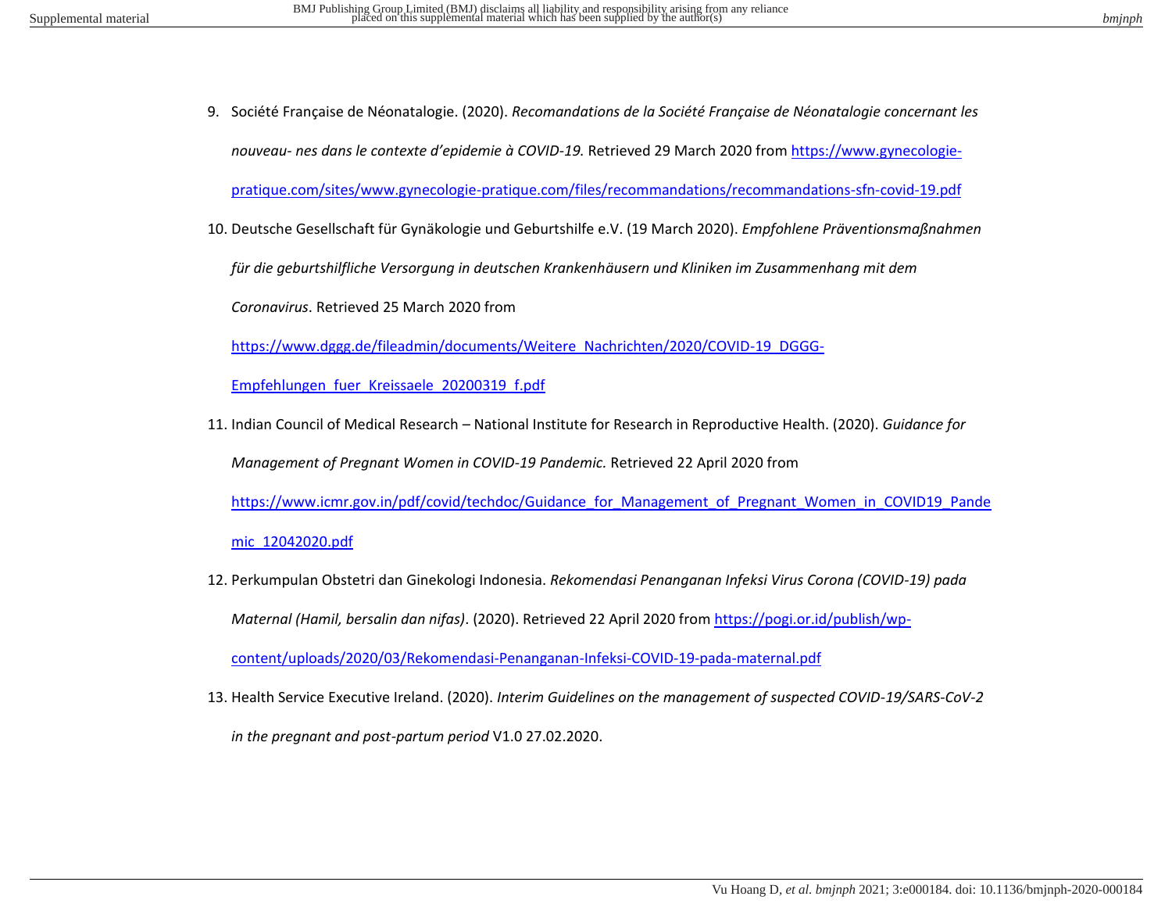9. Société Française de Néonatalogie. (2020). *Recomandations de la Société Française de Néonatalogie concernant les nouveau- nes dans le contexte d'epidemie à COVID-19.* Retrieved 29 March 2020 fro[m https://www.gynecologie-](https://www.gynecologie-pratique.com/sites/www.gynecologie-pratique.com/files/recommandations/recommandations-sfn-covid-19.pdf)

[pratique.com/sites/www.gynecologie-pratique.com/files/recommandations/recommandations-sfn-covid-19.pdf](https://www.gynecologie-pratique.com/sites/www.gynecologie-pratique.com/files/recommandations/recommandations-sfn-covid-19.pdf) 

10. Deutsche Gesellschaft für Gynäkologie und Geburtshilfe e.V. (19 March 2020). *Empfohlene Präventionsmaßnahmen* 

*für die geburtshilfliche Versorgung in deutschen Krankenhäusern und Kliniken im Zusammenhang mit dem* 

*Coronavirus*. Retrieved 25 March 2020 from

[https://www.dggg.de/fileadmin/documents/Weitere\\_Nachrichten/2020/COVID-19\\_DGGG-](https://www.dggg.de/fileadmin/documents/Weitere_Nachrichten/2020/COVID-19_DGGG-Empfehlungen_fuer_Kreissaele_20200319_f.pdf)

[Empfehlungen\\_fuer\\_Kreissaele\\_20200319\\_f.pdf](https://www.dggg.de/fileadmin/documents/Weitere_Nachrichten/2020/COVID-19_DGGG-Empfehlungen_fuer_Kreissaele_20200319_f.pdf)

11. Indian Council of Medical Research – National Institute for Research in Reproductive Health. (2020). *Guidance for Management of Pregnant Women in COVID-19 Pandemic.* Retrieved 22 April 2020 from

[https://www.icmr.gov.in/pdf/covid/techdoc/Guidance\\_for\\_Management\\_of\\_Pregnant\\_Women\\_in\\_COVID19\\_Pande](https://www.icmr.gov.in/pdf/covid/techdoc/Guidance_for_Management_of_Pregnant_Women_in_COVID19_Pandemic_12042020.pdf)

[mic\\_12042020.pdf](https://www.icmr.gov.in/pdf/covid/techdoc/Guidance_for_Management_of_Pregnant_Women_in_COVID19_Pandemic_12042020.pdf)

12. Perkumpulan Obstetri dan Ginekologi Indonesia. *Rekomendasi Penanganan Infeksi Virus Corona (COVID-19) pada Maternal (Hamil, bersalin dan nifas)*. (2020). Retrieved 22 April 2020 from [https://pogi.or.id/publish/wp-](https://pogi.or.id/publish/wp-content/uploads/2020/03/Rekomendasi-Penanganan-Infeksi-COVID-19-pada-maternal.pdf)

[content/uploads/2020/03/Rekomendasi-Penanganan-Infeksi-COVID-19-pada-maternal.pdf](https://pogi.or.id/publish/wp-content/uploads/2020/03/Rekomendasi-Penanganan-Infeksi-COVID-19-pada-maternal.pdf)

13. Health Service Executive Ireland. (2020). *Interim Guidelines on the management of suspected COVID-19/SARS-CoV-2* 

*in the pregnant and post-partum period* V1.0 27.02.2020.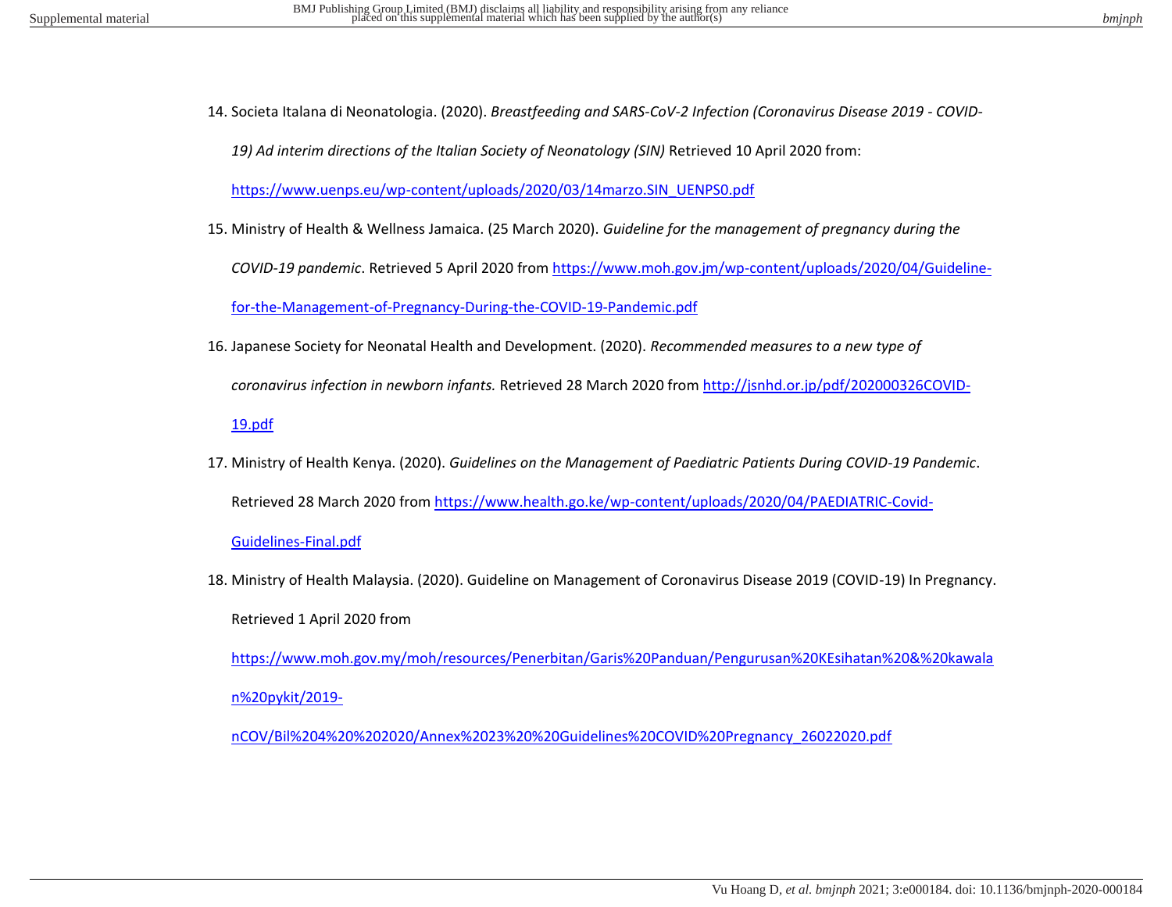14. Societa Italana di Neonatologia. (2020). *Breastfeeding and SARS-CoV-2 Infection (Coronavirus Disease 2019 - COVID-*

*19) Ad interim directions of the Italian Society of Neonatology (SIN)* Retrieved 10 April 2020 from:

[https://www.uenps.eu/wp-content/uploads/2020/03/14marzo.SIN\\_UENPS0.pdf](https://www.uenps.eu/wp-content/uploads/2020/03/14marzo.SIN_UENPS0.pdf) 

15. Ministry of Health & Wellness Jamaica. (25 March 2020). *Guideline for the management of pregnancy during the* 

*COVID-19 pandemic*. Retrieved 5 April 2020 from [https://www.moh.gov.jm/wp-content/uploads/2020/04/Guideline-](https://www.moh.gov.jm/wp-content/uploads/2020/04/Guideline-for-the-Management-of-Pregnancy-During-the-COVID-19-Pandemic.pdf)

[for-the-Management-of-Pregnancy-During-the-COVID-19-Pandemic.pdf](https://www.moh.gov.jm/wp-content/uploads/2020/04/Guideline-for-the-Management-of-Pregnancy-During-the-COVID-19-Pandemic.pdf)

16. Japanese Society for Neonatal Health and Development. (2020). *Recommended measures to a new type of* 

*coronavirus infection in newborn infants.* Retrieved 28 March 2020 from [http://jsnhd.or.jp/pdf/202000326COVID-](http://jsnhd.or.jp/pdf/202000326COVID-19.pdf)

[19.pdf](http://jsnhd.or.jp/pdf/202000326COVID-19.pdf)

17. Ministry of Health Kenya. (2020). *Guidelines on the Management of Paediatric Patients During COVID-19 Pandemic*. Retrieved 28 March 2020 from [https://www.health.go.ke/wp-content/uploads/2020/04/PAEDIATRIC-Covid-](https://www.health.go.ke/wp-content/uploads/2020/04/PAEDIATRIC-Covid-Guidelines-Final.pdf)

[Guidelines-Final.pdf](https://www.health.go.ke/wp-content/uploads/2020/04/PAEDIATRIC-Covid-Guidelines-Final.pdf) 

18. Ministry of Health Malaysia. (2020). Guideline on Management of Coronavirus Disease 2019 (COVID-19) In Pregnancy. Retrieved 1 April 2020 from

[https://www.moh.gov.my/moh/resources/Penerbitan/Garis%20Panduan/Pengurusan%20KEsihatan%20&%20kawala](https://www.moh.gov.my/moh/resources/Penerbitan/Garis%20Panduan/Pengurusan%20KEsihatan%20&%20kawalan%20pykit/2019-nCOV/Bil%204%20%202020/Annex%2023%20%20Guidelines%20COVID%20Pregnancy_26022020.pdf) [n%20pykit/2019-](https://www.moh.gov.my/moh/resources/Penerbitan/Garis%20Panduan/Pengurusan%20KEsihatan%20&%20kawalan%20pykit/2019-nCOV/Bil%204%20%202020/Annex%2023%20%20Guidelines%20COVID%20Pregnancy_26022020.pdf)

[nCOV/Bil%204%20%202020/Annex%2023%20%20Guidelines%20COVID%20Pregnancy\\_26022020.pdf](https://www.moh.gov.my/moh/resources/Penerbitan/Garis%20Panduan/Pengurusan%20KEsihatan%20&%20kawalan%20pykit/2019-nCOV/Bil%204%20%202020/Annex%2023%20%20Guidelines%20COVID%20Pregnancy_26022020.pdf)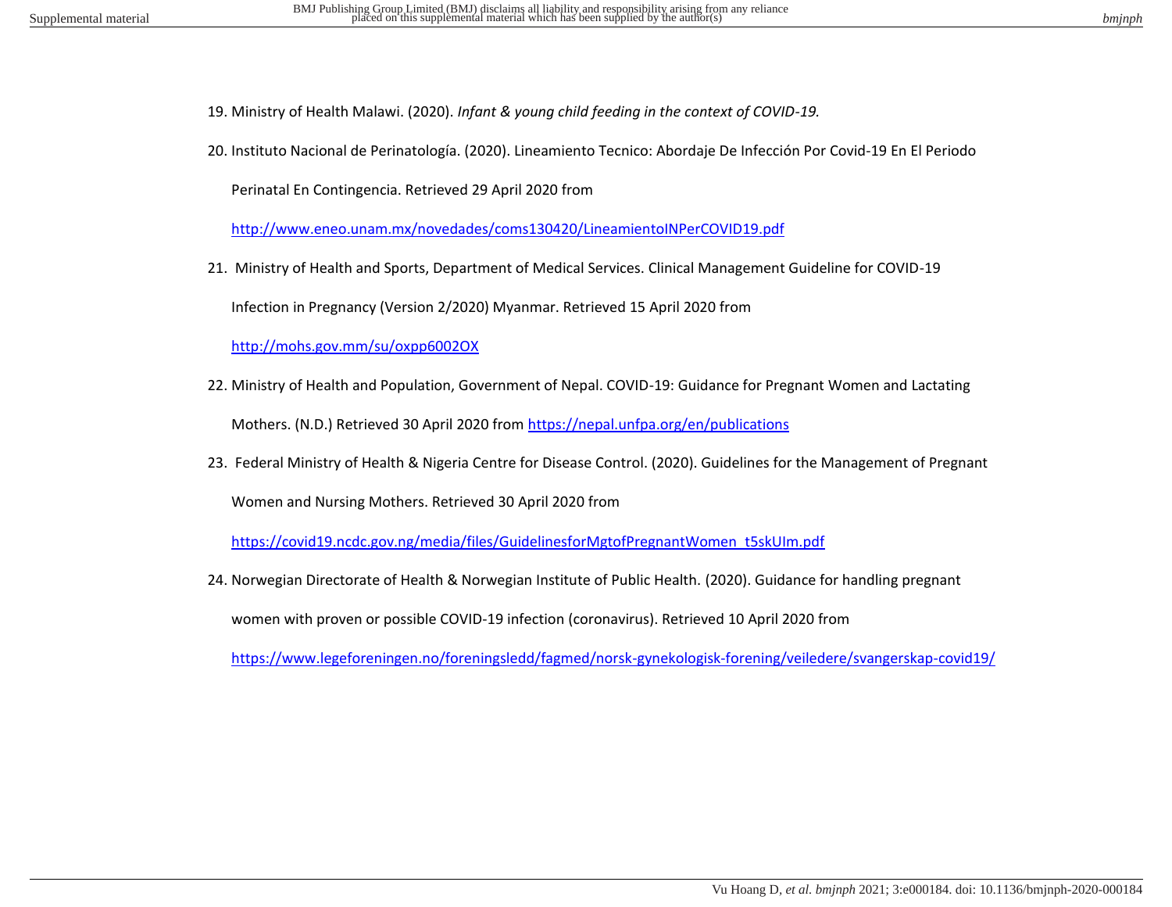- 19. Ministry of Health Malawi. (2020). *Infant & young child feeding in the context of COVID-19.*
- 20. Instituto Nacional de Perinatología. (2020). Lineamiento Tecnico: Abordaje De Infección Por Covid-19 En El Periodo

Perinatal En Contingencia. Retrieved 29 April 2020 from

<http://www.eneo.unam.mx/novedades/coms130420/LineamientoINPerCOVID19.pdf>

21. Ministry of Health and Sports, Department of Medical Services. Clinical Management Guideline for COVID-19

Infection in Pregnancy (Version 2/2020) Myanmar. Retrieved 15 April 2020 from

<http://mohs.gov.mm/su/oxpp6002OX>

22. Ministry of Health and Population, Government of Nepal. COVID-19: Guidance for Pregnant Women and Lactating

Mothers. (N.D.) Retrieved 30 April 2020 from<https://nepal.unfpa.org/en/publications>

23. Federal Ministry of Health & Nigeria Centre for Disease Control. (2020). Guidelines for the Management of Pregnant

Women and Nursing Mothers. Retrieved 30 April 2020 from

[https://covid19.ncdc.gov.ng/media/files/GuidelinesforMgtofPregnantWomen\\_t5skUIm.pdf](https://covid19.ncdc.gov.ng/media/files/GuidelinesforMgtofPregnantWomen_t5skUIm.pdf) 

24. Norwegian Directorate of Health & Norwegian Institute of Public Health. (2020). Guidance for handling pregnant

women with proven or possible COVID-19 infection (coronavirus). Retrieved 10 April 2020 from

<https://www.legeforeningen.no/foreningsledd/fagmed/norsk-gynekologisk-forening/veiledere/svangerskap-covid19/>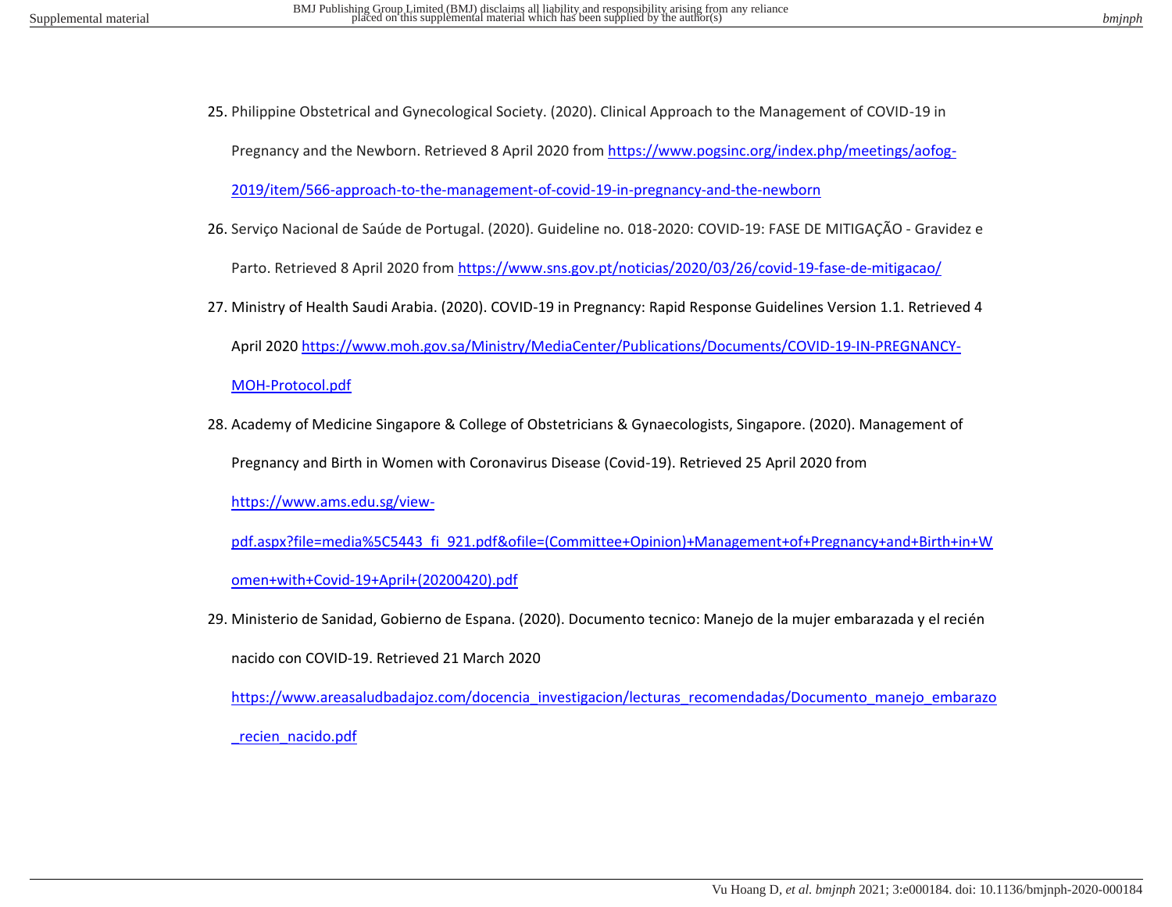25. Philippine Obstetrical and Gynecological Society. (2020). Clinical Approach to the Management of COVID-19 in

Pregnancy and the Newborn. Retrieved 8 April 2020 from [https://www.pogsinc.org/index.php/meetings/aofog-](https://www.pogsinc.org/index.php/meetings/aofog-2019/item/566-approach-to-the-management-of-covid-19-in-pregnancy-and-the-newborn)

[2019/item/566-approach-to-the-management-of-covid-19-in-pregnancy-and-the-newborn](https://www.pogsinc.org/index.php/meetings/aofog-2019/item/566-approach-to-the-management-of-covid-19-in-pregnancy-and-the-newborn)

26. Serviço Nacional de Saúde de Portugal. (2020). Guideline no. 018-2020: COVID-19: FASE DE MITIGAÇÃO - Gravidez e

Parto. Retrieved 8 April 2020 fro[m https://www.sns.gov.pt/noticias/2020/03/26/covid-19-fase-de-mitigacao/](https://www.sns.gov.pt/noticias/2020/03/26/covid-19-fase-de-mitigacao/)

27. Ministry of Health Saudi Arabia. (2020). COVID-19 in Pregnancy: Rapid Response Guidelines Version 1.1. Retrieved 4 April 2020 [https://www.moh.gov.sa/Ministry/MediaCenter/Publications/Documents/COVID-19-IN-PREGNANCY-](https://www.moh.gov.sa/Ministry/MediaCenter/Publications/Documents/COVID-19-IN-PREGNANCY-MOH-Protocol.pdf)

[MOH-Protocol.pdf](https://www.moh.gov.sa/Ministry/MediaCenter/Publications/Documents/COVID-19-IN-PREGNANCY-MOH-Protocol.pdf) 

28. Academy of Medicine Singapore & College of Obstetricians & Gynaecologists, Singapore. (2020). Management of

Pregnancy and Birth in Women with Coronavirus Disease (Covid-19). Retrieved 25 April 2020 from

[https://www.ams.edu.sg/view-](https://www.ams.edu.sg/view-pdf.aspx?file=media%5C5443_fi_921.pdf&ofile=(Committee+Opinion)+Management+of+Pregnancy+and+Birth+in+Women+with+Covid-19+April+(20200420).pdf)

[pdf.aspx?file=media%5C5443\\_fi\\_921.pdf&ofile=\(Committee+Opinion\)+Management+of+Pregnancy+and+Birth+in+W](https://www.ams.edu.sg/view-pdf.aspx?file=media%5C5443_fi_921.pdf&ofile=(Committee+Opinion)+Management+of+Pregnancy+and+Birth+in+Women+with+Covid-19+April+(20200420).pdf) [omen+with+Covid-19+April+\(20200420\).pdf](https://www.ams.edu.sg/view-pdf.aspx?file=media%5C5443_fi_921.pdf&ofile=(Committee+Opinion)+Management+of+Pregnancy+and+Birth+in+Women+with+Covid-19+April+(20200420).pdf) 

29. Ministerio de Sanidad, Gobierno de Espana. (2020). Documento tecnico: Manejo de la mujer embarazada y el recién

nacido con COVID-19. Retrieved 21 March 2020

[https://www.areasaludbadajoz.com/docencia\\_investigacion/lecturas\\_recomendadas/Documento\\_manejo\\_embarazo](https://www.areasaludbadajoz.com/docencia_investigacion/lecturas_recomendadas/Documento_manejo_embarazo_recien_nacido.pdf) [\\_recien\\_nacido.pdf](https://www.areasaludbadajoz.com/docencia_investigacion/lecturas_recomendadas/Documento_manejo_embarazo_recien_nacido.pdf)